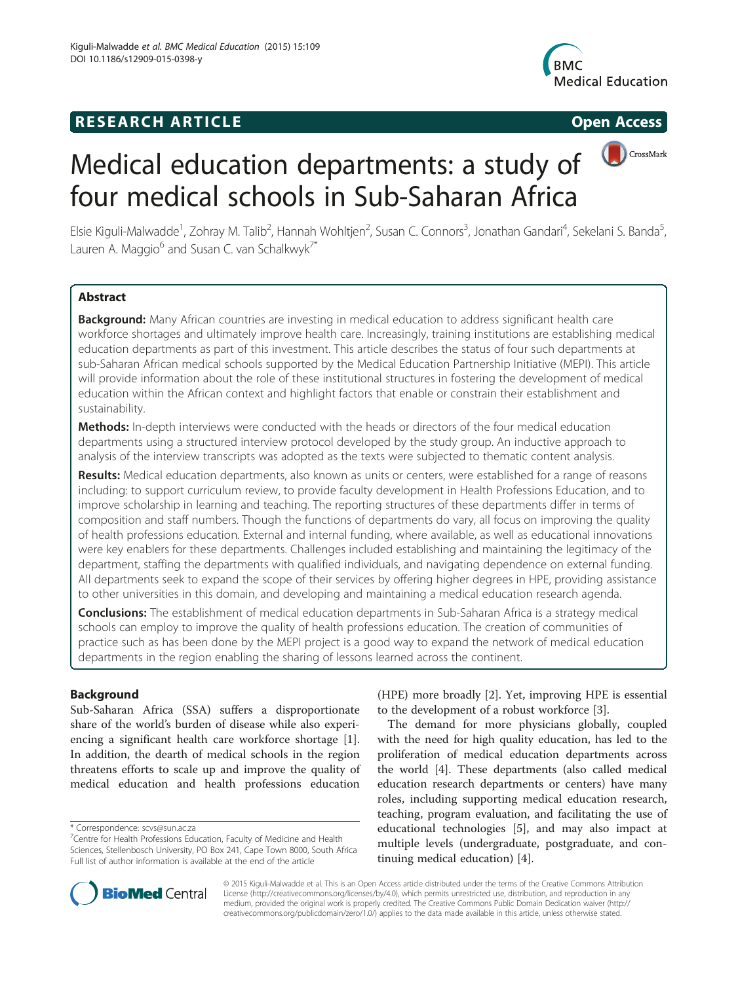## **RESEARCH ARTICLE Example 2014 CONSIDERING CONSIDERING CONSIDERING CONSIDERING CONSIDERING CONSIDERING CONSIDERING CONSIDERING CONSIDERING CONSIDERING CONSIDERING CONSIDERING CONSIDERING CONSIDERING CONSIDERING CONSIDE**





# Medical education departments: a study of four medical schools in Sub-Saharan Africa

Elsie Kiguli-Malwadde<sup>1</sup>, Zohray M. Talib<sup>2</sup>, Hannah Wohltjen<sup>2</sup>, Susan C. Connors<sup>3</sup>, Jonathan Gandari<sup>4</sup>, Sekelani S. Banda<sup>5</sup> , Lauren A. Maggio $^6$  and Susan C. van Schalkwyk<sup>7\*</sup>

## **Abstract**

Background: Many African countries are investing in medical education to address significant health care workforce shortages and ultimately improve health care. Increasingly, training institutions are establishing medical education departments as part of this investment. This article describes the status of four such departments at sub-Saharan African medical schools supported by the Medical Education Partnership Initiative (MEPI). This article will provide information about the role of these institutional structures in fostering the development of medical education within the African context and highlight factors that enable or constrain their establishment and sustainability.

Methods: In-depth interviews were conducted with the heads or directors of the four medical education departments using a structured interview protocol developed by the study group. An inductive approach to analysis of the interview transcripts was adopted as the texts were subjected to thematic content analysis.

Results: Medical education departments, also known as units or centers, were established for a range of reasons including: to support curriculum review, to provide faculty development in Health Professions Education, and to improve scholarship in learning and teaching. The reporting structures of these departments differ in terms of composition and staff numbers. Though the functions of departments do vary, all focus on improving the quality of health professions education. External and internal funding, where available, as well as educational innovations were key enablers for these departments. Challenges included establishing and maintaining the legitimacy of the department, staffing the departments with qualified individuals, and navigating dependence on external funding. All departments seek to expand the scope of their services by offering higher degrees in HPE, providing assistance to other universities in this domain, and developing and maintaining a medical education research agenda.

**Conclusions:** The establishment of medical education departments in Sub-Saharan Africa is a strategy medical schools can employ to improve the quality of health professions education. The creation of communities of practice such as has been done by the MEPI project is a good way to expand the network of medical education departments in the region enabling the sharing of lessons learned across the continent.

## Background

Sub-Saharan Africa (SSA) suffers a disproportionate share of the world's burden of disease while also experiencing a significant health care workforce shortage [\[1](#page-8-0)]. In addition, the dearth of medical schools in the region threatens efforts to scale up and improve the quality of medical education and health professions education

(HPE) more broadly [[2\]](#page-8-0). Yet, improving HPE is essential to the development of a robust workforce [[3\]](#page-8-0).

The demand for more physicians globally, coupled with the need for high quality education, has led to the proliferation of medical education departments across the world [\[4\]](#page-8-0). These departments (also called medical education research departments or centers) have many roles, including supporting medical education research, teaching, program evaluation, and facilitating the use of educational technologies [\[5\]](#page-8-0), and may also impact at multiple levels (undergraduate, postgraduate, and continuing medical education) [[4\]](#page-8-0).



© 2015 Kiguli-Malwadde et al. This is an Open Access article distributed under the terms of the Creative Commons Attribution License (<http://creativecommons.org/licenses/by/4.0>), which permits unrestricted use, distribution, and reproduction in any medium, provided the original work is properly credited. The Creative Commons Public Domain Dedication waiver [\(http://](http://creativecommons.org/publicdomain/zero/1.0/) [creativecommons.org/publicdomain/zero/1.0/\)](http://creativecommons.org/publicdomain/zero/1.0/) applies to the data made available in this article, unless otherwise stated.

<sup>\*</sup> Correspondence: [scvs@sun.ac.za](mailto:scvs@sun.ac.za) <sup>7</sup>

 $K^7$ Centre for Health Professions Education, Eaculty of Medicine and Health Sciences, Stellenbosch University, PO Box 241, Cape Town 8000, South Africa Full list of author information is available at the end of the article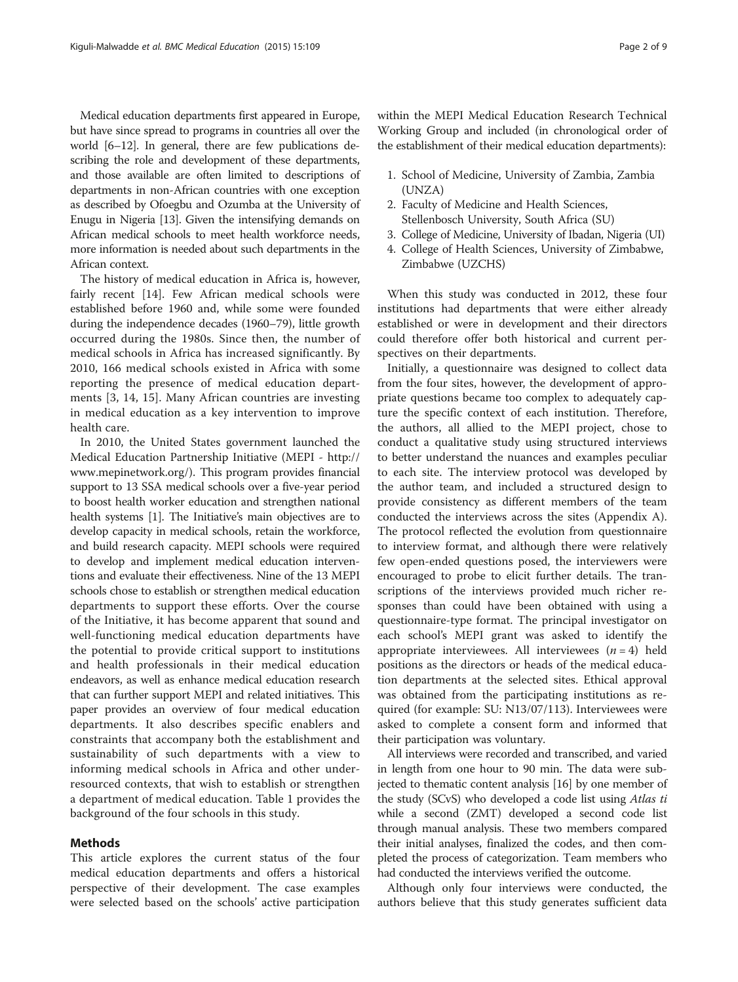Medical education departments first appeared in Europe, but have since spread to programs in countries all over the world [\[6](#page-8-0)–[12](#page-8-0)]. In general, there are few publications describing the role and development of these departments, and those available are often limited to descriptions of departments in non-African countries with one exception as described by Ofoegbu and Ozumba at the University of Enugu in Nigeria [[13](#page-8-0)]. Given the intensifying demands on African medical schools to meet health workforce needs, more information is needed about such departments in the African context.

The history of medical education in Africa is, however, fairly recent [[14\]](#page-8-0). Few African medical schools were established before 1960 and, while some were founded during the independence decades (1960–79), little growth occurred during the 1980s. Since then, the number of medical schools in Africa has increased significantly. By 2010, 166 medical schools existed in Africa with some reporting the presence of medical education departments [[3, 14](#page-8-0), [15\]](#page-8-0). Many African countries are investing in medical education as a key intervention to improve health care.

In 2010, the United States government launched the Medical Education Partnership Initiative (MEPI - [http://](http://www.mepinetwork.org/) [www.mepinetwork.org/\)](http://www.mepinetwork.org/). This program provides financial support to 13 SSA medical schools over a five-year period to boost health worker education and strengthen national health systems [[1\]](#page-8-0). The Initiative's main objectives are to develop capacity in medical schools, retain the workforce, and build research capacity. MEPI schools were required to develop and implement medical education interventions and evaluate their effectiveness. Nine of the 13 MEPI schools chose to establish or strengthen medical education departments to support these efforts. Over the course of the Initiative, it has become apparent that sound and well-functioning medical education departments have the potential to provide critical support to institutions and health professionals in their medical education endeavors, as well as enhance medical education research that can further support MEPI and related initiatives. This paper provides an overview of four medical education departments. It also describes specific enablers and constraints that accompany both the establishment and sustainability of such departments with a view to informing medical schools in Africa and other underresourced contexts, that wish to establish or strengthen a department of medical education. Table [1](#page-2-0) provides the background of the four schools in this study.

#### Methods

This article explores the current status of the four medical education departments and offers a historical perspective of their development. The case examples were selected based on the schools' active participation within the MEPI Medical Education Research Technical Working Group and included (in chronological order of the establishment of their medical education departments):

- 1. School of Medicine, University of Zambia, Zambia (UNZA)
- 2. Faculty of Medicine and Health Sciences, Stellenbosch University, South Africa (SU)
- 3. College of Medicine, University of Ibadan, Nigeria (UI)
- 4. College of Health Sciences, University of Zimbabwe, Zimbabwe (UZCHS)

When this study was conducted in 2012, these four institutions had departments that were either already established or were in development and their directors could therefore offer both historical and current perspectives on their departments.

Initially, a questionnaire was designed to collect data from the four sites, however, the development of appropriate questions became too complex to adequately capture the specific context of each institution. Therefore, the authors, all allied to the MEPI project, chose to conduct a qualitative study using structured interviews to better understand the nuances and examples peculiar to each site. The interview protocol was developed by the author team, and included a structured design to provide consistency as different members of the team conducted the interviews across the sites (Appendix A). The protocol reflected the evolution from questionnaire to interview format, and although there were relatively few open-ended questions posed, the interviewers were encouraged to probe to elicit further details. The transcriptions of the interviews provided much richer responses than could have been obtained with using a questionnaire-type format. The principal investigator on each school's MEPI grant was asked to identify the appropriate interviewees. All interviewees  $(n = 4)$  held positions as the directors or heads of the medical education departments at the selected sites. Ethical approval was obtained from the participating institutions as required (for example: SU: N13/07/113). Interviewees were asked to complete a consent form and informed that their participation was voluntary.

All interviews were recorded and transcribed, and varied in length from one hour to 90 min. The data were subjected to thematic content analysis [\[16](#page-8-0)] by one member of the study (SCvS) who developed a code list using Atlas ti while a second (ZMT) developed a second code list through manual analysis. These two members compared their initial analyses, finalized the codes, and then completed the process of categorization. Team members who had conducted the interviews verified the outcome.

Although only four interviews were conducted, the authors believe that this study generates sufficient data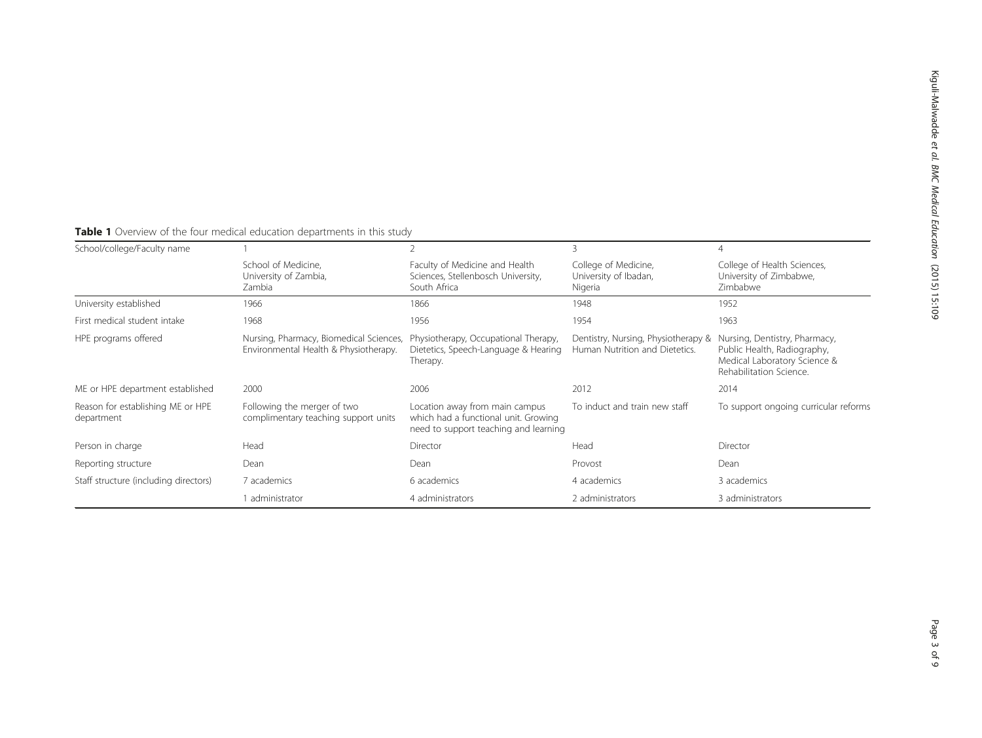<span id="page-2-0"></span>

| <b>Table 1</b> Overview of the four medical education departments in this study |  |
|---------------------------------------------------------------------------------|--|
| School/college/Faculty name                                                     |  |

| School/college/Faculty name                     |                                                                                                                                                                                                                         |                                                                                          |                                                                       | 4                                                                                                                       |
|-------------------------------------------------|-------------------------------------------------------------------------------------------------------------------------------------------------------------------------------------------------------------------------|------------------------------------------------------------------------------------------|-----------------------------------------------------------------------|-------------------------------------------------------------------------------------------------------------------------|
|                                                 | School of Medicine.<br>University of Zambia,<br>Zambia                                                                                                                                                                  | Faculty of Medicine and Health<br>Sciences, Stellenbosch University,<br>South Africa     | College of Medicine,<br>University of Ibadan,<br>Nigeria              | College of Health Sciences,<br>University of Zimbabwe,<br>Zimbabwe                                                      |
| University established                          | 1966                                                                                                                                                                                                                    | 1866                                                                                     | 1948                                                                  | 1952                                                                                                                    |
| First medical student intake                    | 1968                                                                                                                                                                                                                    | 1956                                                                                     | 1954                                                                  | 1963                                                                                                                    |
| HPE programs offered                            | Nursing, Pharmacy, Biomedical Sciences,<br>Environmental Health & Physiotherapy.                                                                                                                                        | Physiotherapy, Occupational Therapy,<br>Dietetics, Speech-Language & Hearing<br>Therapy. | Dentistry, Nursing, Physiotherapy &<br>Human Nutrition and Dietetics. | Nursing, Dentistry, Pharmacy,<br>Public Health, Radiography,<br>Medical Laboratory Science &<br>Rehabilitation Science. |
| ME or HPE department established                | 2000                                                                                                                                                                                                                    | 2006                                                                                     | 2012                                                                  | 2014                                                                                                                    |
| Reason for establishing ME or HPE<br>department | Following the merger of two<br>To induct and train new staff<br>Location away from main campus<br>complimentary teaching support units<br>which had a functional unit. Growing<br>need to support teaching and learning |                                                                                          |                                                                       | To support ongoing curricular reforms                                                                                   |
| Person in charge                                | Head                                                                                                                                                                                                                    | Director                                                                                 | Head                                                                  | Director                                                                                                                |
| Reporting structure                             | Dean                                                                                                                                                                                                                    | Dean                                                                                     | Provost                                                               | Dean                                                                                                                    |
| Staff structure (including directors)           | 7 academics                                                                                                                                                                                                             | 6 academics                                                                              | 4 academics                                                           | 3 academics                                                                                                             |
|                                                 | administrator                                                                                                                                                                                                           | 4 administrators                                                                         | 2 administrators                                                      | 3 administrators                                                                                                        |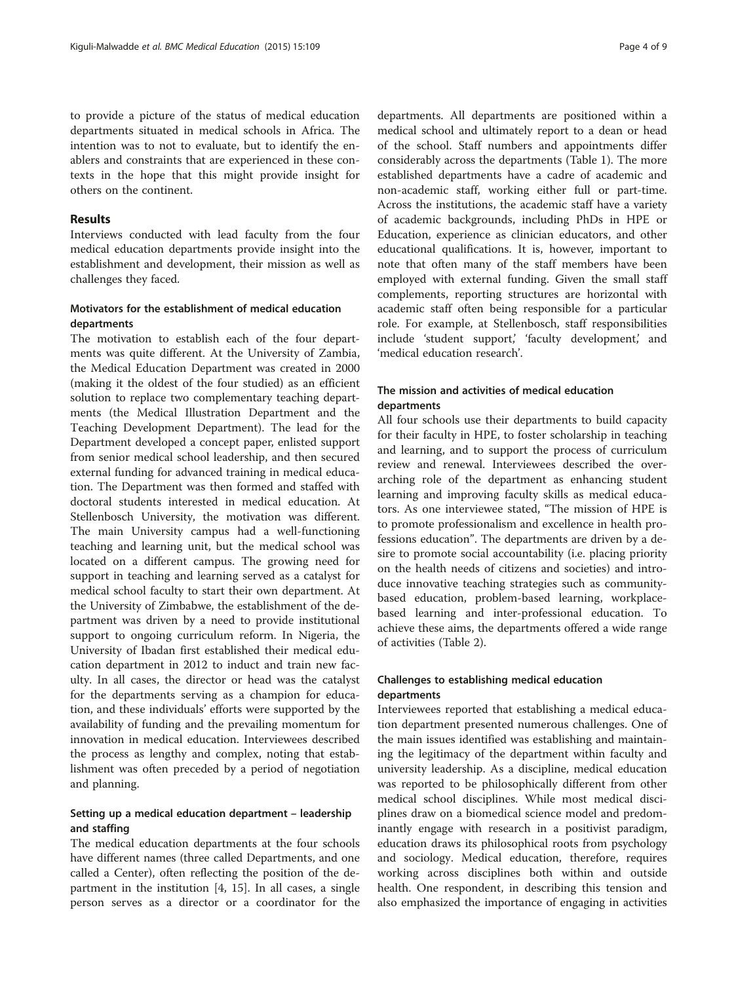to provide a picture of the status of medical education departments situated in medical schools in Africa. The intention was to not to evaluate, but to identify the enablers and constraints that are experienced in these contexts in the hope that this might provide insight for others on the continent.

#### Results

Interviews conducted with lead faculty from the four medical education departments provide insight into the establishment and development, their mission as well as challenges they faced.

## Motivators for the establishment of medical education departments

The motivation to establish each of the four departments was quite different. At the University of Zambia, the Medical Education Department was created in 2000 (making it the oldest of the four studied) as an efficient solution to replace two complementary teaching departments (the Medical Illustration Department and the Teaching Development Department). The lead for the Department developed a concept paper, enlisted support from senior medical school leadership, and then secured external funding for advanced training in medical education. The Department was then formed and staffed with doctoral students interested in medical education. At Stellenbosch University, the motivation was different. The main University campus had a well-functioning teaching and learning unit, but the medical school was located on a different campus. The growing need for support in teaching and learning served as a catalyst for medical school faculty to start their own department. At the University of Zimbabwe, the establishment of the department was driven by a need to provide institutional support to ongoing curriculum reform. In Nigeria, the University of Ibadan first established their medical education department in 2012 to induct and train new faculty. In all cases, the director or head was the catalyst for the departments serving as a champion for education, and these individuals' efforts were supported by the availability of funding and the prevailing momentum for innovation in medical education. Interviewees described the process as lengthy and complex, noting that establishment was often preceded by a period of negotiation and planning.

#### Setting up a medical education department – leadership and staffing

The medical education departments at the four schools have different names (three called Departments, and one called a Center), often reflecting the position of the department in the institution [[4, 15\]](#page-8-0). In all cases, a single person serves as a director or a coordinator for the

departments. All departments are positioned within a medical school and ultimately report to a dean or head of the school. Staff numbers and appointments differ considerably across the departments (Table [1\)](#page-2-0). The more established departments have a cadre of academic and non-academic staff, working either full or part-time. Across the institutions, the academic staff have a variety of academic backgrounds, including PhDs in HPE or Education, experience as clinician educators, and other educational qualifications. It is, however, important to note that often many of the staff members have been employed with external funding. Given the small staff complements, reporting structures are horizontal with academic staff often being responsible for a particular role. For example, at Stellenbosch, staff responsibilities include 'student support,' 'faculty development,' and 'medical education research'.

#### The mission and activities of medical education departments

All four schools use their departments to build capacity for their faculty in HPE, to foster scholarship in teaching and learning, and to support the process of curriculum review and renewal. Interviewees described the overarching role of the department as enhancing student learning and improving faculty skills as medical educators. As one interviewee stated, "The mission of HPE is to promote professionalism and excellence in health professions education". The departments are driven by a desire to promote social accountability (i.e. placing priority on the health needs of citizens and societies) and introduce innovative teaching strategies such as communitybased education, problem-based learning, workplacebased learning and inter-professional education. To achieve these aims, the departments offered a wide range of activities (Table [2](#page-4-0)).

## Challenges to establishing medical education departments

Interviewees reported that establishing a medical education department presented numerous challenges. One of the main issues identified was establishing and maintaining the legitimacy of the department within faculty and university leadership. As a discipline, medical education was reported to be philosophically different from other medical school disciplines. While most medical disciplines draw on a biomedical science model and predominantly engage with research in a positivist paradigm, education draws its philosophical roots from psychology and sociology. Medical education, therefore, requires working across disciplines both within and outside health. One respondent, in describing this tension and also emphasized the importance of engaging in activities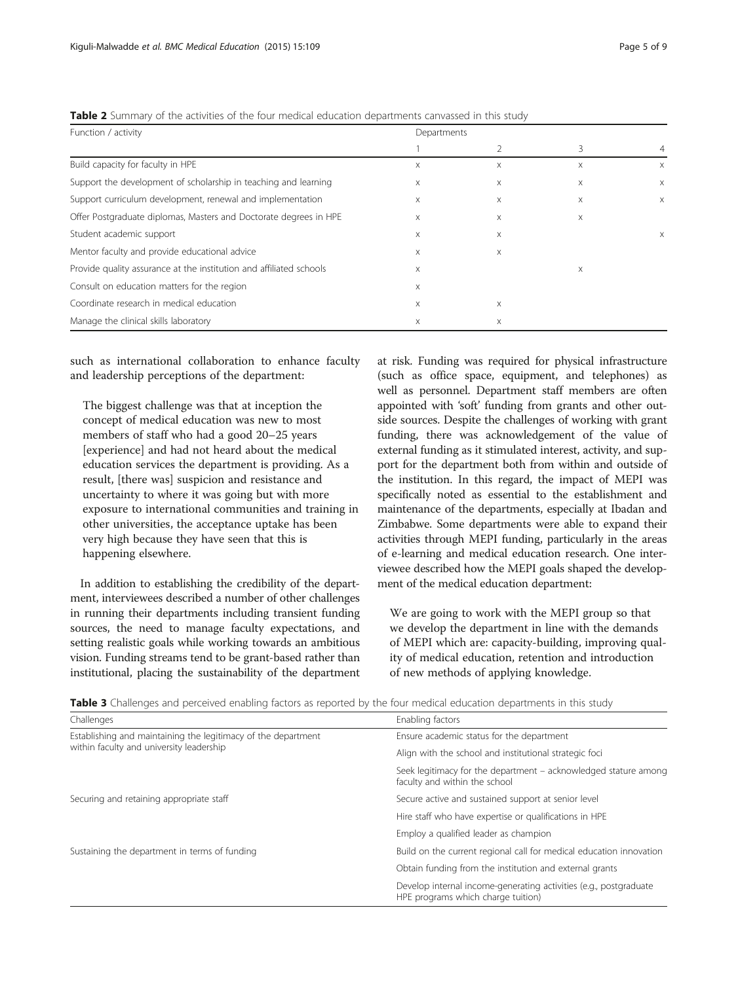| Function / activity                                                 | <b>I WATE A</b> JUITINGLY OF THE UCTIVITIES OF THE TOUL HILLUIGH CUUCUTOFF UCDULTING CUITINGSSCU IIT THIS STUDY<br>Departments |   |   |          |
|---------------------------------------------------------------------|--------------------------------------------------------------------------------------------------------------------------------|---|---|----------|
|                                                                     |                                                                                                                                |   |   |          |
|                                                                     |                                                                                                                                |   | 3 | 4        |
| Build capacity for faculty in HPE                                   | X                                                                                                                              | X | X | $\times$ |
| Support the development of scholarship in teaching and learning     | X                                                                                                                              | X | X | X        |
| Support curriculum development, renewal and implementation          | X                                                                                                                              | X | Χ | X        |
| Offer Postgraduate diplomas, Masters and Doctorate degrees in HPE   | X                                                                                                                              | X | X |          |
| Student academic support                                            | X                                                                                                                              | X |   | X        |
| Mentor faculty and provide educational advice                       | $\times$                                                                                                                       | X |   |          |
| Provide quality assurance at the institution and affiliated schools | X                                                                                                                              |   | Χ |          |
| Consult on education matters for the region                         | $\times$                                                                                                                       |   |   |          |
| Coordinate research in medical education                            | X                                                                                                                              | X |   |          |
| Manage the clinical skills laboratory                               | X                                                                                                                              | X |   |          |

<span id="page-4-0"></span>Table 2 Summary of the activities of the four medical education departments canvassed in this study

such as international collaboration to enhance faculty and leadership perceptions of the department:

The biggest challenge was that at inception the concept of medical education was new to most members of staff who had a good 20–25 years [experience] and had not heard about the medical education services the department is providing. As a result, [there was] suspicion and resistance and uncertainty to where it was going but with more exposure to international communities and training in other universities, the acceptance uptake has been very high because they have seen that this is happening elsewhere.

In addition to establishing the credibility of the department, interviewees described a number of other challenges in running their departments including transient funding sources, the need to manage faculty expectations, and setting realistic goals while working towards an ambitious vision. Funding streams tend to be grant-based rather than institutional, placing the sustainability of the department at risk. Funding was required for physical infrastructure (such as office space, equipment, and telephones) as well as personnel. Department staff members are often appointed with 'soft' funding from grants and other outside sources. Despite the challenges of working with grant funding, there was acknowledgement of the value of external funding as it stimulated interest, activity, and support for the department both from within and outside of the institution. In this regard, the impact of MEPI was specifically noted as essential to the establishment and maintenance of the departments, especially at Ibadan and Zimbabwe. Some departments were able to expand their activities through MEPI funding, particularly in the areas of e-learning and medical education research. One interviewee described how the MEPI goals shaped the development of the medical education department:

We are going to work with the MEPI group so that we develop the department in line with the demands of MEPI which are: capacity-building, improving quality of medical education, retention and introduction of new methods of applying knowledge.

|  |  |  | <b>Table 3</b> Challenges and perceived enabling factors as reported by the four medical education departments in this study |  |
|--|--|--|------------------------------------------------------------------------------------------------------------------------------|--|
|  |  |  |                                                                                                                              |  |

| Challenges                                                    | Enabling factors                                                                                        |  |  |
|---------------------------------------------------------------|---------------------------------------------------------------------------------------------------------|--|--|
| Establishing and maintaining the legitimacy of the department | Ensure academic status for the department                                                               |  |  |
| within faculty and university leadership                      | Align with the school and institutional strategic foci                                                  |  |  |
|                                                               | Seek legitimacy for the department – acknowledged stature among<br>faculty and within the school        |  |  |
| Securing and retaining appropriate staff                      | Secure active and sustained support at senior level                                                     |  |  |
|                                                               | Hire staff who have expertise or qualifications in HPE                                                  |  |  |
|                                                               | Employ a qualified leader as champion                                                                   |  |  |
| Sustaining the department in terms of funding                 | Build on the current regional call for medical education innovation                                     |  |  |
|                                                               | Obtain funding from the institution and external grants                                                 |  |  |
|                                                               | Develop internal income-generating activities (e.g., postgraduate<br>HPE programs which charge tuition) |  |  |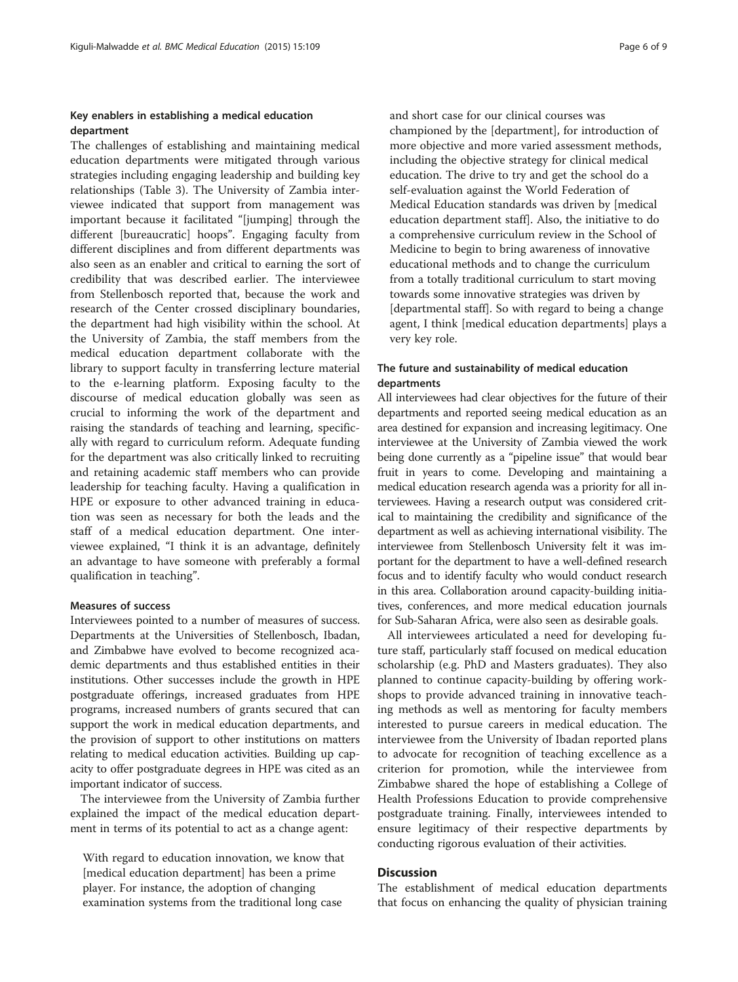#### Key enablers in establishing a medical education department

The challenges of establishing and maintaining medical education departments were mitigated through various strategies including engaging leadership and building key relationships (Table [3\)](#page-4-0). The University of Zambia interviewee indicated that support from management was important because it facilitated "[jumping] through the different [bureaucratic] hoops". Engaging faculty from different disciplines and from different departments was also seen as an enabler and critical to earning the sort of credibility that was described earlier. The interviewee from Stellenbosch reported that, because the work and research of the Center crossed disciplinary boundaries, the department had high visibility within the school. At the University of Zambia, the staff members from the medical education department collaborate with the library to support faculty in transferring lecture material to the e-learning platform. Exposing faculty to the discourse of medical education globally was seen as crucial to informing the work of the department and raising the standards of teaching and learning, specifically with regard to curriculum reform. Adequate funding for the department was also critically linked to recruiting and retaining academic staff members who can provide leadership for teaching faculty. Having a qualification in HPE or exposure to other advanced training in education was seen as necessary for both the leads and the staff of a medical education department. One interviewee explained, "I think it is an advantage, definitely an advantage to have someone with preferably a formal qualification in teaching".

#### Measures of success

Interviewees pointed to a number of measures of success. Departments at the Universities of Stellenbosch, Ibadan, and Zimbabwe have evolved to become recognized academic departments and thus established entities in their institutions. Other successes include the growth in HPE postgraduate offerings, increased graduates from HPE programs, increased numbers of grants secured that can support the work in medical education departments, and the provision of support to other institutions on matters relating to medical education activities. Building up capacity to offer postgraduate degrees in HPE was cited as an important indicator of success.

The interviewee from the University of Zambia further explained the impact of the medical education department in terms of its potential to act as a change agent:

With regard to education innovation, we know that [medical education department] has been a prime player. For instance, the adoption of changing examination systems from the traditional long case

and short case for our clinical courses was championed by the [department], for introduction of more objective and more varied assessment methods, including the objective strategy for clinical medical education. The drive to try and get the school do a self-evaluation against the World Federation of Medical Education standards was driven by [medical education department staff]. Also, the initiative to do a comprehensive curriculum review in the School of Medicine to begin to bring awareness of innovative educational methods and to change the curriculum from a totally traditional curriculum to start moving towards some innovative strategies was driven by [departmental staff]. So with regard to being a change agent, I think [medical education departments] plays a very key role.

#### The future and sustainability of medical education departments

All interviewees had clear objectives for the future of their departments and reported seeing medical education as an area destined for expansion and increasing legitimacy. One interviewee at the University of Zambia viewed the work being done currently as a "pipeline issue" that would bear fruit in years to come. Developing and maintaining a medical education research agenda was a priority for all interviewees. Having a research output was considered critical to maintaining the credibility and significance of the department as well as achieving international visibility. The interviewee from Stellenbosch University felt it was important for the department to have a well-defined research focus and to identify faculty who would conduct research in this area. Collaboration around capacity-building initiatives, conferences, and more medical education journals for Sub-Saharan Africa, were also seen as desirable goals.

All interviewees articulated a need for developing future staff, particularly staff focused on medical education scholarship (e.g. PhD and Masters graduates). They also planned to continue capacity-building by offering workshops to provide advanced training in innovative teaching methods as well as mentoring for faculty members interested to pursue careers in medical education. The interviewee from the University of Ibadan reported plans to advocate for recognition of teaching excellence as a criterion for promotion, while the interviewee from Zimbabwe shared the hope of establishing a College of Health Professions Education to provide comprehensive postgraduate training. Finally, interviewees intended to ensure legitimacy of their respective departments by conducting rigorous evaluation of their activities.

#### **Discussion**

The establishment of medical education departments that focus on enhancing the quality of physician training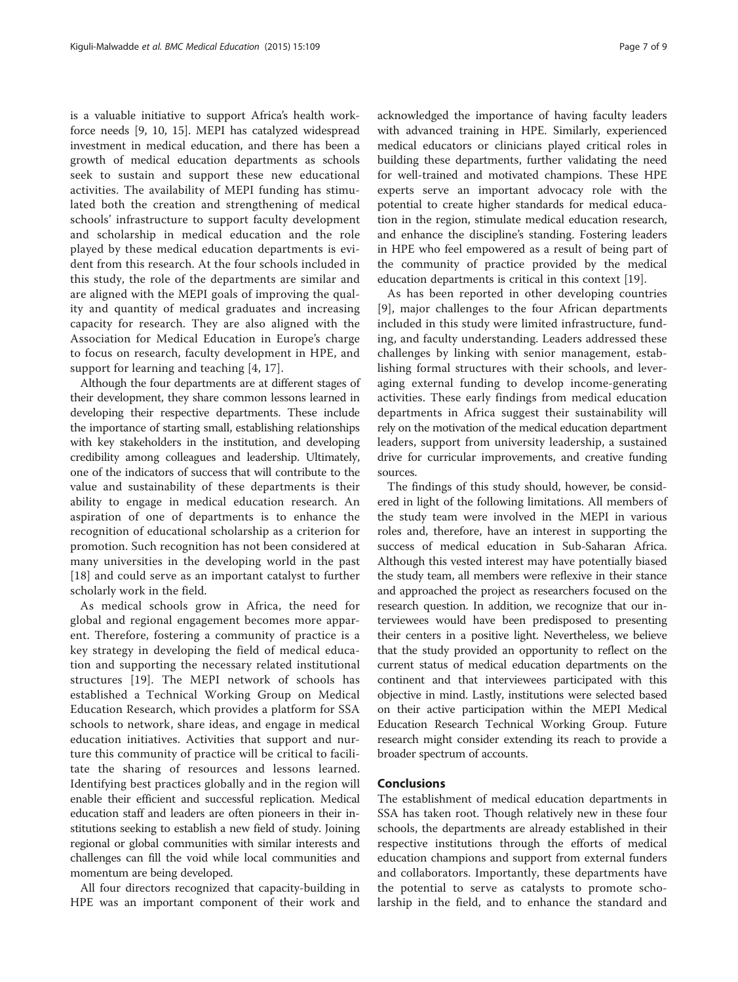is a valuable initiative to support Africa's health workforce needs [[9, 10, 15\]](#page-8-0). MEPI has catalyzed widespread investment in medical education, and there has been a growth of medical education departments as schools seek to sustain and support these new educational activities. The availability of MEPI funding has stimulated both the creation and strengthening of medical schools' infrastructure to support faculty development and scholarship in medical education and the role played by these medical education departments is evident from this research. At the four schools included in this study, the role of the departments are similar and are aligned with the MEPI goals of improving the quality and quantity of medical graduates and increasing capacity for research. They are also aligned with the Association for Medical Education in Europe's charge to focus on research, faculty development in HPE, and support for learning and teaching [\[4](#page-8-0), [17](#page-8-0)].

Although the four departments are at different stages of their development, they share common lessons learned in developing their respective departments. These include the importance of starting small, establishing relationships with key stakeholders in the institution, and developing credibility among colleagues and leadership. Ultimately, one of the indicators of success that will contribute to the value and sustainability of these departments is their ability to engage in medical education research. An aspiration of one of departments is to enhance the recognition of educational scholarship as a criterion for promotion. Such recognition has not been considered at many universities in the developing world in the past [[18\]](#page-8-0) and could serve as an important catalyst to further scholarly work in the field.

As medical schools grow in Africa, the need for global and regional engagement becomes more apparent. Therefore, fostering a community of practice is a key strategy in developing the field of medical education and supporting the necessary related institutional structures [[19\]](#page-8-0). The MEPI network of schools has established a Technical Working Group on Medical Education Research, which provides a platform for SSA schools to network, share ideas, and engage in medical education initiatives. Activities that support and nurture this community of practice will be critical to facilitate the sharing of resources and lessons learned. Identifying best practices globally and in the region will enable their efficient and successful replication. Medical education staff and leaders are often pioneers in their institutions seeking to establish a new field of study. Joining regional or global communities with similar interests and challenges can fill the void while local communities and momentum are being developed.

All four directors recognized that capacity-building in HPE was an important component of their work and

acknowledged the importance of having faculty leaders with advanced training in HPE. Similarly, experienced medical educators or clinicians played critical roles in building these departments, further validating the need for well-trained and motivated champions. These HPE experts serve an important advocacy role with the potential to create higher standards for medical education in the region, stimulate medical education research, and enhance the discipline's standing. Fostering leaders in HPE who feel empowered as a result of being part of the community of practice provided by the medical education departments is critical in this context [[19\]](#page-8-0).

As has been reported in other developing countries [[9](#page-8-0)], major challenges to the four African departments included in this study were limited infrastructure, funding, and faculty understanding. Leaders addressed these challenges by linking with senior management, establishing formal structures with their schools, and leveraging external funding to develop income-generating activities. These early findings from medical education departments in Africa suggest their sustainability will rely on the motivation of the medical education department leaders, support from university leadership, a sustained drive for curricular improvements, and creative funding sources.

The findings of this study should, however, be considered in light of the following limitations. All members of the study team were involved in the MEPI in various roles and, therefore, have an interest in supporting the success of medical education in Sub-Saharan Africa. Although this vested interest may have potentially biased the study team, all members were reflexive in their stance and approached the project as researchers focused on the research question. In addition, we recognize that our interviewees would have been predisposed to presenting their centers in a positive light. Nevertheless, we believe that the study provided an opportunity to reflect on the current status of medical education departments on the continent and that interviewees participated with this objective in mind. Lastly, institutions were selected based on their active participation within the MEPI Medical Education Research Technical Working Group. Future research might consider extending its reach to provide a broader spectrum of accounts.

#### Conclusions

The establishment of medical education departments in SSA has taken root. Though relatively new in these four schools, the departments are already established in their respective institutions through the efforts of medical education champions and support from external funders and collaborators. Importantly, these departments have the potential to serve as catalysts to promote scholarship in the field, and to enhance the standard and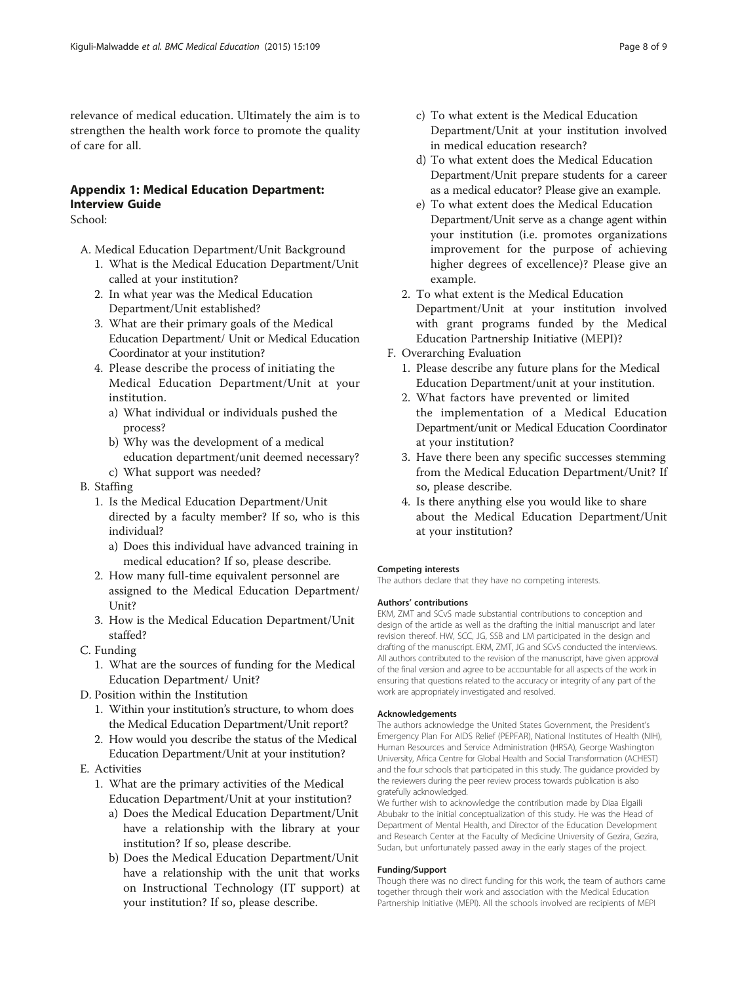relevance of medical education. Ultimately the aim is to strengthen the health work force to promote the quality of care for all.

## Appendix 1: Medical Education Department: Interview Guide

School:

- A. Medical Education Department/Unit Background
	- 1. What is the Medical Education Department/Unit called at your institution?
	- 2. In what year was the Medical Education Department/Unit established?
	- 3. What are their primary goals of the Medical Education Department/ Unit or Medical Education Coordinator at your institution?
	- 4. Please describe the process of initiating the Medical Education Department/Unit at your institution.
		- a) What individual or individuals pushed the process?
		- b) Why was the development of a medical education department/unit deemed necessary?
	- c) What support was needed?
- B. Staffing
	- 1. Is the Medical Education Department/Unit directed by a faculty member? If so, who is this individual?
		- a) Does this individual have advanced training in medical education? If so, please describe.
	- 2. How many full-time equivalent personnel are assigned to the Medical Education Department/ Unit?
	- 3. How is the Medical Education Department/Unit staffed?
- C. Funding
	- 1. What are the sources of funding for the Medical Education Department/ Unit?
- D. Position within the Institution
	- 1. Within your institution's structure, to whom does the Medical Education Department/Unit report?
	- 2. How would you describe the status of the Medical Education Department/Unit at your institution?
- E. Activities
	- 1. What are the primary activities of the Medical Education Department/Unit at your institution?
		- a) Does the Medical Education Department/Unit have a relationship with the library at your institution? If so, please describe.
		- b) Does the Medical Education Department/Unit have a relationship with the unit that works on Instructional Technology (IT support) at your institution? If so, please describe.
- c) To what extent is the Medical Education Department/Unit at your institution involved in medical education research?
- d) To what extent does the Medical Education Department/Unit prepare students for a career as a medical educator? Please give an example.
- e) To what extent does the Medical Education Department/Unit serve as a change agent within your institution (i.e. promotes organizations improvement for the purpose of achieving higher degrees of excellence)? Please give an example.
- 2. To what extent is the Medical Education Department/Unit at your institution involved with grant programs funded by the Medical Education Partnership Initiative (MEPI)?
- F. Overarching Evaluation
	- 1. Please describe any future plans for the Medical Education Department/unit at your institution.
	- 2. What factors have prevented or limited the implementation of a Medical Education Department/unit or Medical Education Coordinator at your institution?
	- 3. Have there been any specific successes stemming from the Medical Education Department/Unit? If so, please describe.
	- 4. Is there anything else you would like to share about the Medical Education Department/Unit at your institution?

#### Competing interests

The authors declare that they have no competing interests.

#### Authors' contributions

EKM, ZMT and SCvS made substantial contributions to conception and design of the article as well as the drafting the initial manuscript and later revision thereof. HW, SCC, JG, SSB and LM participated in the design and drafting of the manuscript. EKM, ZMT, JG and SCvS conducted the interviews. All authors contributed to the revision of the manuscript, have given approval of the final version and agree to be accountable for all aspects of the work in ensuring that questions related to the accuracy or integrity of any part of the work are appropriately investigated and resolved.

#### Acknowledgements

The authors acknowledge the United States Government, the President's Emergency Plan For AIDS Relief (PEPFAR), National Institutes of Health (NIH), Human Resources and Service Administration (HRSA), George Washington University, Africa Centre for Global Health and Social Transformation (ACHEST) and the four schools that participated in this study. The guidance provided by the reviewers during the peer review process towards publication is also gratefully acknowledged.

We further wish to acknowledge the contribution made by Diaa Elgaili Abubakr to the initial conceptualization of this study. He was the Head of Department of Mental Health, and Director of the Education Development and Research Center at the Faculty of Medicine University of Gezira, Gezira, Sudan, but unfortunately passed away in the early stages of the project.

#### Funding/Support

Though there was no direct funding for this work, the team of authors came together through their work and association with the Medical Education Partnership Initiative (MEPI). All the schools involved are recipients of MEPI